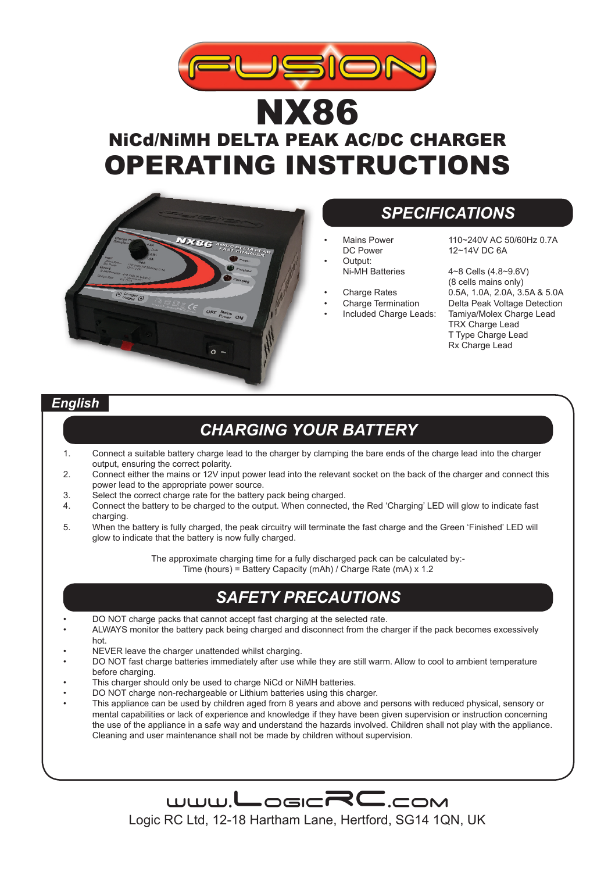

# NX86 NiCd/NiMH DELTA PEAK AC/DC CHARGER OPERATING INSTRUCTIONS



### *SPECIFICATIONS*

- Output:<br>Ni-MH Batteries
- 
- 
- 

Mains Power 110~240V AC 50/60Hz 0.7A<br>DC Power 12~14V DC 6A  $12~14V$  DC 6A

 $4 - 8$  Cells  $(4.8 - 9.6V)$ (8 cells mains only)  $\frac{1}{2}$ Charge Rates  $\frac{0.5A}{1.0A}$ , 2.0A,  $\frac{3.5A}{8}$ , 8.5.0A<br>Charge Termination Delta Peak Voltage Detection • Charge Termination Delta Peak Voltage Detection Tamiya/Molex Charge Lead TRX Charge Lead T Type Charge Lead Rx Charge Lead

#### *English*

### *CHARGING YOUR BATTERY*

- 1. Connect a suitable battery charge lead to the charger by clamping the bare ends of the charge lead into the charger output, ensuring the correct polarity.
- 2. Connect either the mains or 12V input power lead into the relevant socket on the back of the charger and connect this power lead to the appropriate power source.
- 3. Select the correct charge rate for the battery pack being charged.<br>4 Connect the battery to be charged to the output When connected
- 4. Connect the battery to be charged to the output. When connected, the Red 'Charging' LED will glow to indicate fast charging.
- 5. When the battery is fully charged, the peak circuitry will terminate the fast charge and the Green 'Finished' LED will glow to indicate that the battery is now fully charged.

The approximate charging time for a fully discharged pack can be calculated by:- Time (hours) = Battery Capacity (mAh) / Charge Rate (mA) x 1.2

### *SAFETY PRECAUTIONS*

- DO NOT charge packs that cannot accept fast charging at the selected rate.
- ALWAYS monitor the battery pack being charged and disconnect from the charger if the pack becomes excessively hot.
- NEVER leave the charger unattended whilst charging.
- DO NOT fast charge batteries immediately after use while they are still warm. Allow to cool to ambient temperature before charging.
- This charger should only be used to charge NiCd or NiMH batteries.
- DO NOT charge non-rechargeable or Lithium batteries using this charger.
- This appliance can be used by children aged from 8 years and above and persons with reduced physical, sensory or mental capabilities or lack of experience and knowledge if they have been given supervision or instruction concerning the use of the appliance in a safe way and understand the hazards involved. Children shall not play with the appliance. Cleaning and user maintenance shall not be made by children without supervision.



Logic RC Ltd, 12-18 Hartham Lane, Hertford, SG14 1QN, UK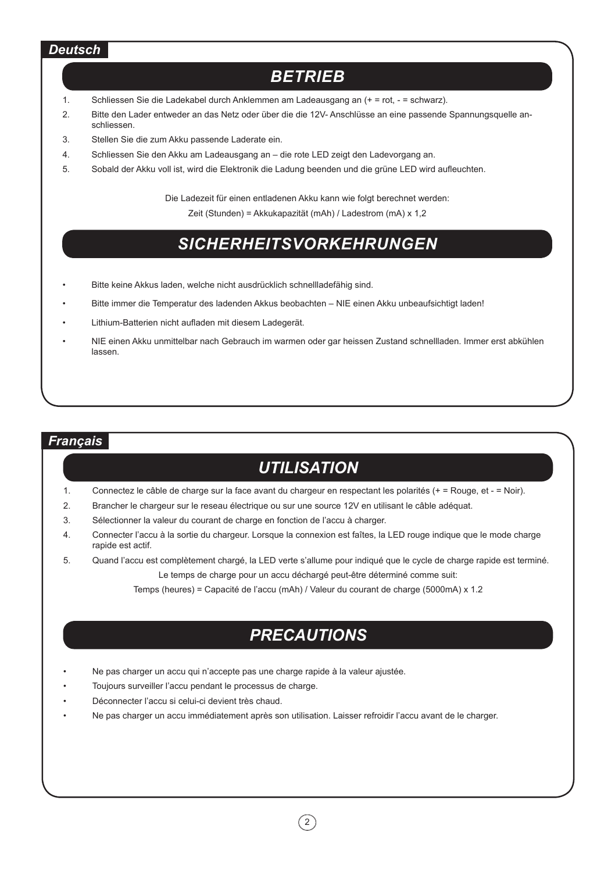#### *Deutsch*

### *Betrieb*

- 1. Schliessen Sie die Ladekabel durch Anklemmen am Ladeausgang an (+ = rot, = schwarz).
- 2. Bitte den Lader entweder an das Netz oder über die die 12V- Anschlüsse an eine passende Spannungsquelle anschliessen.
- 3. Stellen Sie die zum Akku passende Laderate ein.
- 4. Schliessen Sie den Akku am Ladeausgang an die rote LED zeigt den Ladevorgang an.
- 5. Sobald der Akku voll ist, wird die Elektronik die Ladung beenden und die grüne LED wird aufleuchten.

Die Ladezeit für einen entladenen Akku kann wie folgt berechnet werden:

Zeit (Stunden) = Akkukapazität (mAh) / Ladestrom (mA) x 1,2

### *Sicherheitsvorkehrungen*

- Bitte keine Akkus laden, welche nicht ausdrücklich schnellladefähig sind.
- Bitte immer die Temperatur des ladenden Akkus beobachten NIE einen Akku unbeaufsichtigt laden!
- Lithium-Batterien nicht aufladen mit diesem Ladegerät.
- NIE einen Akku unmittelbar nach Gebrauch im warmen oder gar heissen Zustand schnellladen. Immer erst abkühlen lassen.

#### *Français*

### *UTILISATION*

- 1. Connectez le câble de charge sur la face avant du chargeur en respectant les polarités (+ = Rouge, et = Noir).
- 2. Brancher le chargeur sur le reseau électrique ou sur une source 12V en utilisant le câble adéquat.
- 3. Sélectionner la valeur du courant de charge en fonction de l'accu à charger.
- 4. Connecter l'accu à la sortie du chargeur. Lorsque la connexion est faîtes, la LED rouge indique que le mode charge rapide est actif.
- 5. Quand l'accu est complètement chargé, la LED verte s'allume pour indiqué que le cycle de charge rapide est terminé. Le temps de charge pour un accu déchargé peut-être déterminé comme suit:

Temps (heures) = Capacité de l'accu (mAh) / Valeur du courant de charge (5000mA) x 1.2

### *PRECAUTIONS*

- Ne pas charger un accu qui n'accepte pas une charge rapide à la valeur ajustée.
- Toujours surveiller l'accu pendant le processus de charge.
- Déconnecter l'accu si celui-ci devient très chaud.
- Ne pas charger un accu immédiatement après son utilisation. Laisser refroidir l'accu avant de le charger.

 $(2)$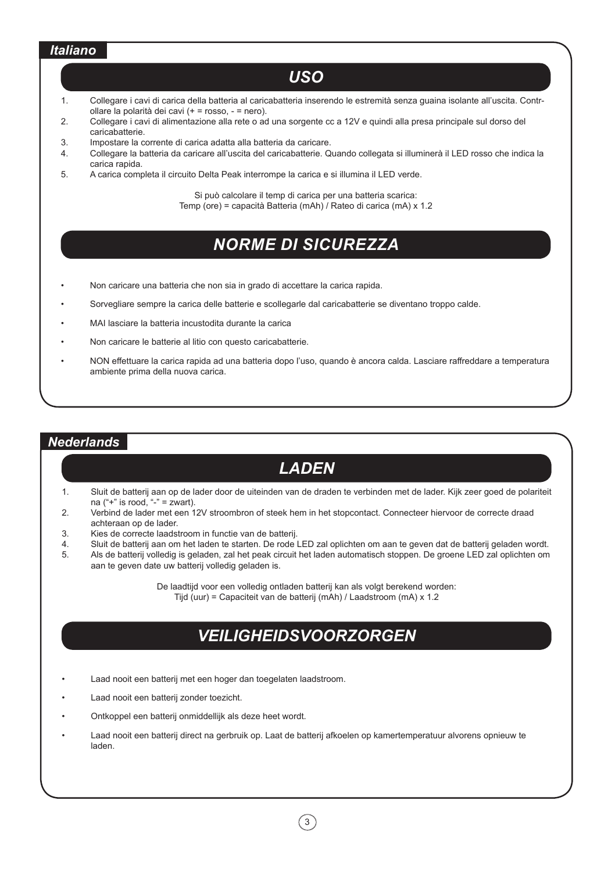#### *Italiano*

#### *USO*

- 1. Collegare i cavi di carica della batteria al caricabatteria inserendo le estremità senza guaina isolante all'uscita. Controllare la polarità dei cavi (+ = rosso, - = nero).
- 2. Collegare i cavi di alimentazione alla rete o ad una sorgente cc a 12V e quindi alla presa principale sul dorso del caricabatterie.
- 3. Impostare la corrente di carica adatta alla batteria da caricare.
- 4. Collegare la batteria da caricare all'uscita del caricabatterie. Quando collegata si illuminerà il LED rosso che indica la carica rapida.
- 5. A carica completa il circuito Delta Peak interrompe la carica e si illumina il LED verde.

Si può calcolare il temp di carica per una batteria scarica: Temp (ore) = capacità Batteria (mAh) / Rateo di carica (mA) x 1.2

# *Norme di Sicurezza*

- Non caricare una batteria che non sia in grado di accettare la carica rapida.
- Sorvegliare sempre la carica delle batterie e scollegarle dal caricabatterie se diventano troppo calde.
- MAI lasciare la batteria incustodita durante la carica
- Non caricare le batterie al litio con questo caricabatterie.
- NON effettuare la carica rapida ad una batteria dopo l'uso, quando è ancora calda. Lasciare raffreddare a temperatura ambiente prima della nuova carica.

#### *Nederlands*

### *LADEN*

- 1. Sluit de batterij aan op de lader door de uiteinden van de draden te verbinden met de lader. Kijk zeer goed de polariteit na  $("+"$  is rood, "-" = zwart).
- 2. Verbind de lader met een 12V stroombron of steek hem in het stopcontact. Connecteer hiervoor de correcte draad achteraan op de lader.
- 3. Kies de correcte laadstroom in functie van de batterij.<br>4. Sluit de batterij aan om het laden te starten. De rode l
- 4. Sluit de batterij aan om het laden te starten. De rode LED zal oplichten om aan te geven dat de batterij geladen wordt.
- 5. Als de batterij volledig is geladen, zal het peak circuit het laden automatisch stoppen. De groene LED zal oplichten om aan te geven date uw batterij volledig geladen is.

De laadtijd voor een volledig ontladen batterij kan als volgt berekend worden: Tijd (uur) = Capaciteit van de batterij (mAh) / Laadstroom (mA) x 1.2

# *VEILIGHEIDSVOORZORGEN*

- Laad nooit een batterij met een hoger dan toegelaten laadstroom.
- Laad nooit een batterij zonder toezicht.
- Ontkoppel een batterij onmiddellijk als deze heet wordt.
- Laad nooit een batterij direct na gerbruik op. Laat de batterij afkoelen op kamertemperatuur alvorens opnieuw te laden.

 $\left(3\right)$